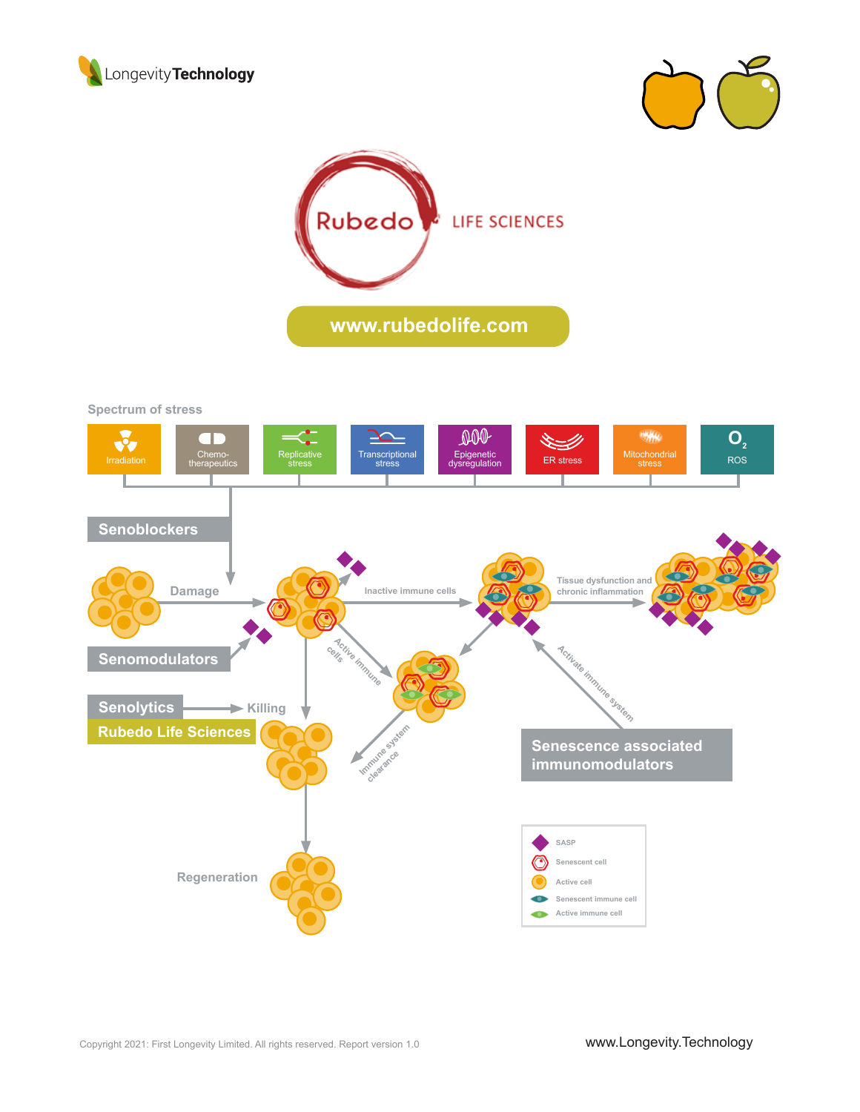





**Spectrum of stress**

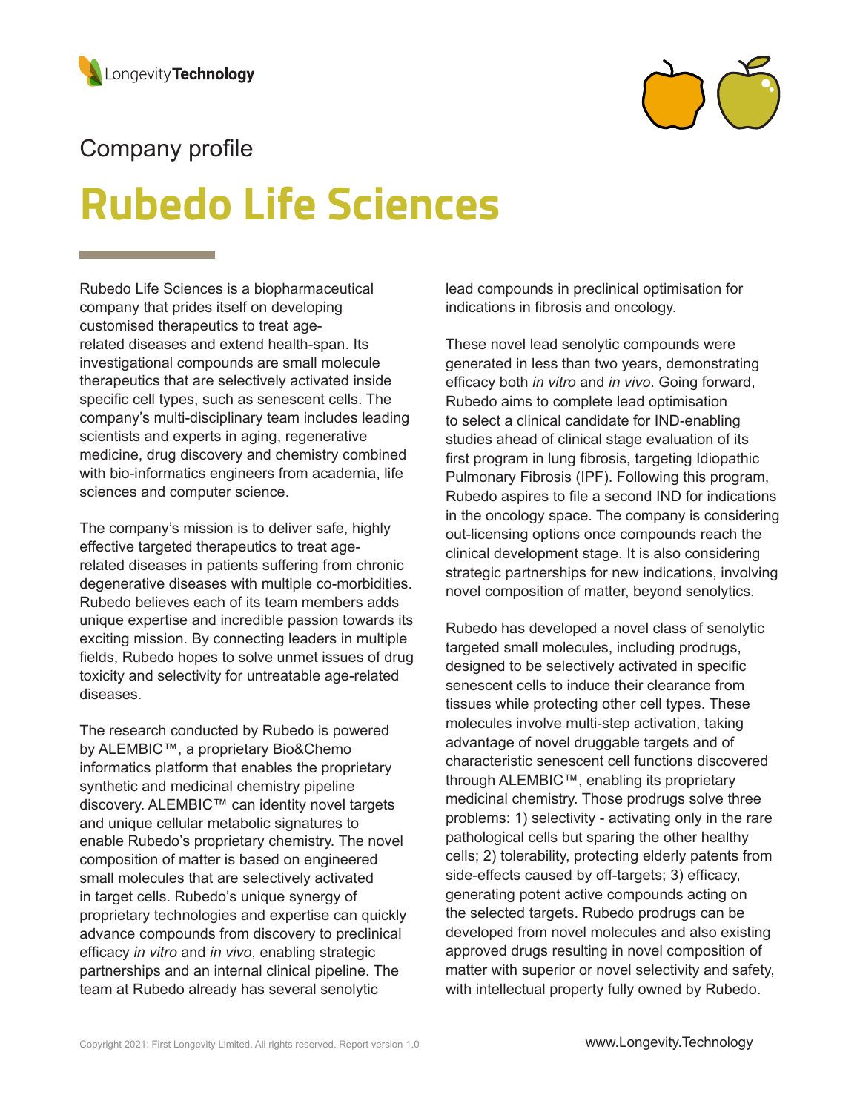

## Company profile

# **Rubedo Life Sciences**

Rubedo Life Sciences is a biopharmaceutical company that prides itself on developing customised therapeutics to treat agerelated diseases and extend health-span. Its investigational compounds are small molecule therapeutics that are selectively activated inside specific cell types, such as senescent cells. The company's multi-disciplinary team includes leading scientists and experts in aging, regenerative medicine, drug discovery and chemistry combined with bio-informatics engineers from academia, life sciences and computer science.

The company's mission is to deliver safe, highly effective targeted therapeutics to treat agerelated diseases in patients suffering from chronic degenerative diseases with multiple co-morbidities. Rubedo believes each of its team members adds unique expertise and incredible passion towards its exciting mission. By connecting leaders in multiple fields, Rubedo hopes to solve unmet issues of drug toxicity and selectivity for untreatable age-related diseases.

The research conducted by Rubedo is powered by ALEMBIC™, a proprietary Bio&Chemo informatics platform that enables the proprietary synthetic and medicinal chemistry pipeline discovery. ALEMBIC™ can identity novel targets and unique cellular metabolic signatures to enable Rubedo's proprietary chemistry. The novel composition of matter is based on engineered small molecules that are selectively activated in target cells. Rubedo's unique synergy of proprietary technologies and expertise can quickly advance compounds from discovery to preclinical efficacy *in vitro* and *in vivo*, enabling strategic partnerships and an internal clinical pipeline. The team at Rubedo already has several senolytic

lead compounds in preclinical optimisation for indications in fibrosis and oncology.

These novel lead senolytic compounds were generated in less than two years, demonstrating efficacy both *in vitro* and *in vivo*. Going forward, Rubedo aims to complete lead optimisation to select a clinical candidate for IND-enabling studies ahead of clinical stage evaluation of its first program in lung fibrosis, targeting Idiopathic Pulmonary Fibrosis (IPF). Following this program, Rubedo aspires to file a second IND for indications in the oncology space. The company is considering out-licensing options once compounds reach the clinical development stage. It is also considering strategic partnerships for new indications, involving novel composition of matter, beyond senolytics.

Rubedo has developed a novel class of senolytic targeted small molecules, including prodrugs, designed to be selectively activated in specific senescent cells to induce their clearance from tissues while protecting other cell types. These molecules involve multi-step activation, taking advantage of novel druggable targets and of characteristic senescent cell functions discovered through ALEMBIC™, enabling its proprietary medicinal chemistry. Those prodrugs solve three problems: 1) selectivity - activating only in the rare pathological cells but sparing the other healthy cells; 2) tolerability, protecting elderly patents from side-effects caused by off-targets; 3) efficacy, generating potent active compounds acting on the selected targets. Rubedo prodrugs can be developed from novel molecules and also existing approved drugs resulting in novel composition of matter with superior or novel selectivity and safety, with intellectual property fully owned by Rubedo.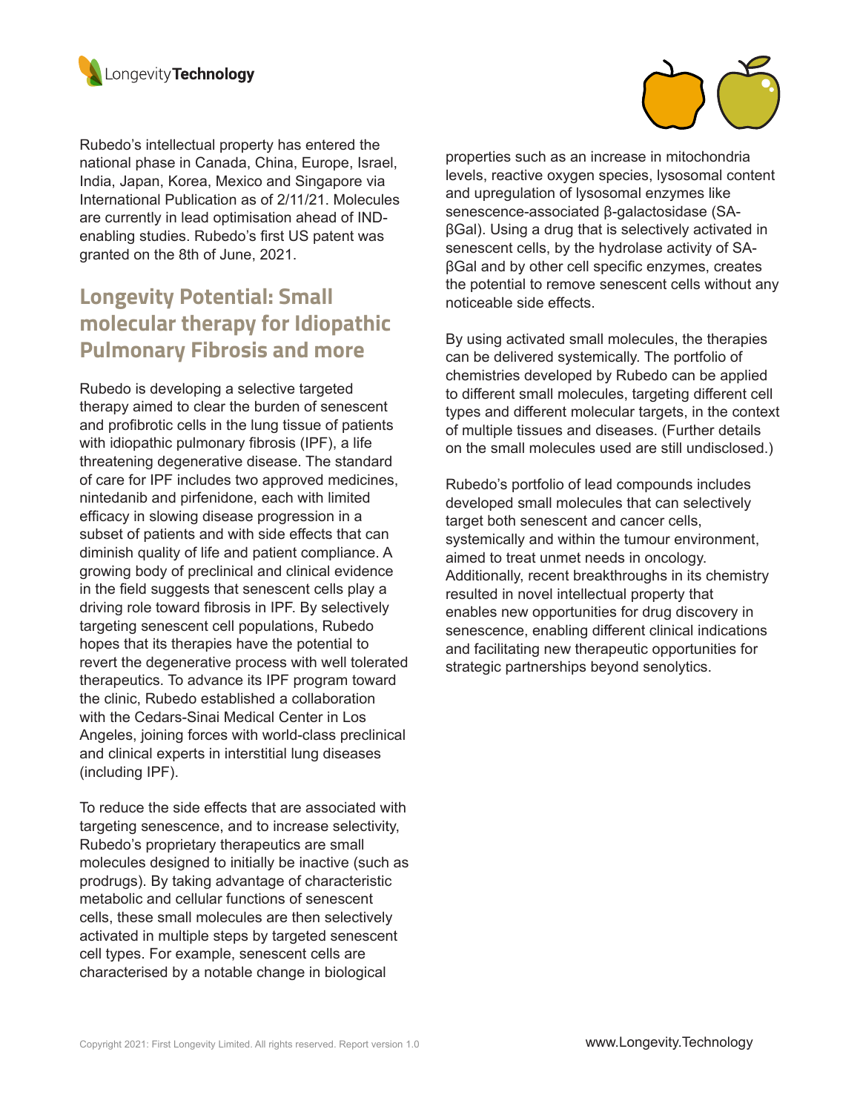

Rubedo's intellectual property has entered the national phase in Canada, China, Europe, Israel, India, Japan, Korea, Mexico and Singapore via International Publication as of 2/11/21. Molecules are currently in lead optimisation ahead of INDenabling studies. Rubedo's first US patent was granted on the 8th of June, 2021.

## **Longevity Potential: Small molecular therapy for Idiopathic Pulmonary Fibrosis and more**

Rubedo is developing a selective targeted therapy aimed to clear the burden of senescent and profibrotic cells in the lung tissue of patients with idiopathic pulmonary fibrosis (IPF), a life threatening degenerative disease. The standard of care for IPF includes two approved medicines, nintedanib and pirfenidone, each with limited efficacy in slowing disease progression in a subset of patients and with side effects that can diminish quality of life and patient compliance. A growing body of preclinical and clinical evidence in the field suggests that senescent cells play a driving role toward fibrosis in IPF. By selectively targeting senescent cell populations, Rubedo hopes that its therapies have the potential to revert the degenerative process with well tolerated therapeutics. To advance its IPF program toward the clinic, Rubedo established a collaboration with the Cedars-Sinai Medical Center in Los Angeles, joining forces with world-class preclinical and clinical experts in interstitial lung diseases (including IPF).

To reduce the side effects that are associated with targeting senescence, and to increase selectivity, Rubedo's proprietary therapeutics are small molecules designed to initially be inactive (such as prodrugs). By taking advantage of characteristic metabolic and cellular functions of senescent cells, these small molecules are then selectively activated in multiple steps by targeted senescent cell types. For example, senescent cells are characterised by a notable change in biological



properties such as an increase in mitochondria levels, reactive oxygen species, lysosomal content and upregulation of lysosomal enzymes like senescence-associated β-galactosidase (SAβGal). Using a drug that is selectively activated in senescent cells, by the hydrolase activity of SAβGal and by other cell specific enzymes, creates the potential to remove senescent cells without any noticeable side effects.

By using activated small molecules, the therapies can be delivered systemically. The portfolio of chemistries developed by Rubedo can be applied to different small molecules, targeting different cell types and different molecular targets, in the context of multiple tissues and diseases. (Further details on the small molecules used are still undisclosed.)

Rubedo's portfolio of lead compounds includes developed small molecules that can selectively target both senescent and cancer cells, systemically and within the tumour environment, aimed to treat unmet needs in oncology. Additionally, recent breakthroughs in its chemistry resulted in novel intellectual property that enables new opportunities for drug discovery in senescence, enabling different clinical indications and facilitating new therapeutic opportunities for strategic partnerships beyond senolytics.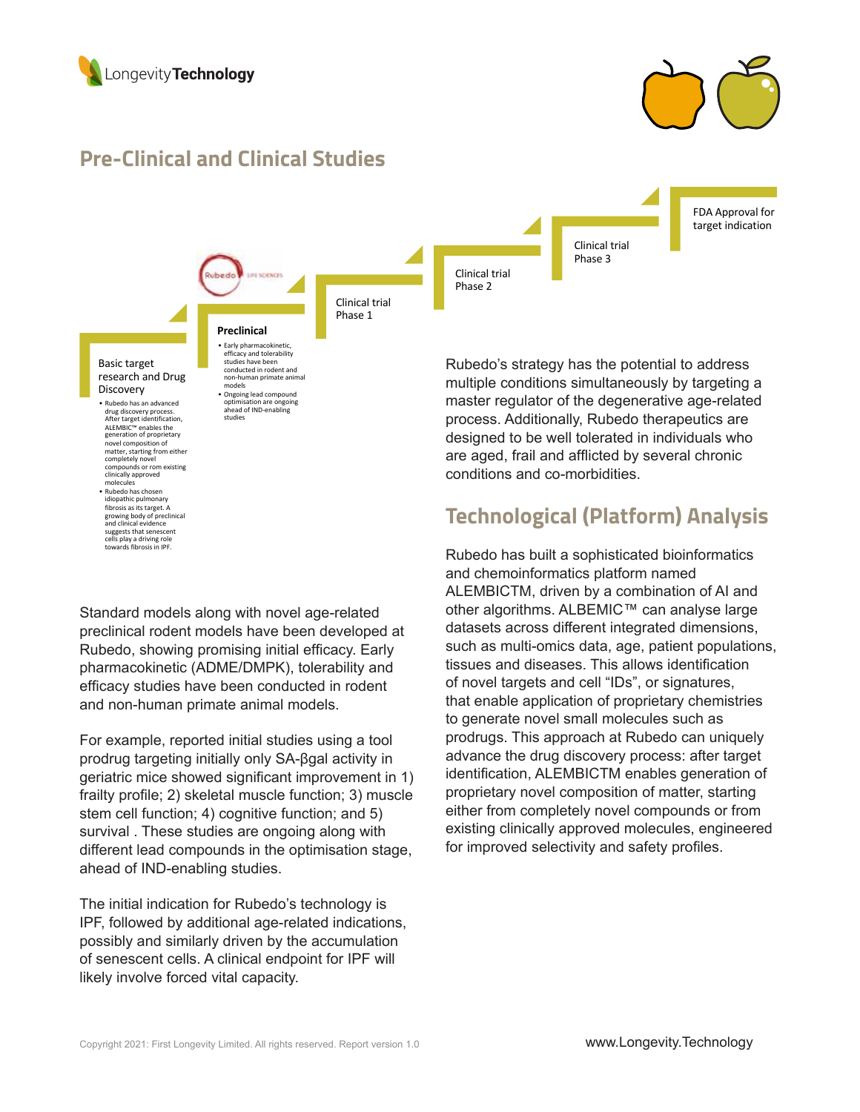



#### **Pre-Clinical and Clinical Studies**

**Preclinical**  • Early pharmacokinetic, efficacy and tolerability studies have been conducted in rodent and non-human primate animal

models • Ongoing lead compound optimisation are ongoing ahead of IND-enabling<br>studies



#### Basic target research and Drug Discovery

• Rubedo has an advanced drug discovery process. After target identification, ALEMBIC™ enables the generation of proprietary novel composition of matter, starting from either completely novel compounds or rom existing clinically approved molecules

• Rubedo has chosen<br>idiopathic pulmonary fibrosis as its target. A growing body of preclinical and clinical evidence suggests that senescent cells play a driving role towards fibrosis in IPF.

Phase 1

Rubedo's strategy has the potential to address multiple conditions simultaneously by targeting a master regulator of the degenerative age-related process. Additionally, Rubedo therapeutics are designed to be well tolerated in individuals who are aged, frail and afflicted by several chronic conditions and co-morbidities.

## **Technological (Platform) Analysis**

Rubedo has built a sophisticated bioinformatics and chemoinformatics platform named ALEMBICTM, driven by a combination of AI and other algorithms. ALBEMIC™ can analyse large datasets across different integrated dimensions, such as multi-omics data, age, patient populations, tissues and diseases. This allows identification of novel targets and cell "IDs", or signatures, that enable application of proprietary chemistries to generate novel small molecules such as prodrugs. This approach at Rubedo can uniquely advance the drug discovery process: after target identification, ALEMBICTM enables generation of proprietary novel composition of matter, starting either from completely novel compounds or from existing clinically approved molecules, engineered for improved selectivity and safety profiles.

Standard models along with novel age-related preclinical rodent models have been developed at Rubedo, showing promising initial efficacy. Early pharmacokinetic (ADME/DMPK), tolerability and efficacy studies have been conducted in rodent and non-human primate animal models.

For example, reported initial studies using a tool prodrug targeting initially only SA-βgal activity in geriatric mice showed significant improvement in 1) frailty profile; 2) skeletal muscle function; 3) muscle stem cell function; 4) cognitive function; and 5) survival . These studies are ongoing along with different lead compounds in the optimisation stage, ahead of IND-enabling studies.

The initial indication for Rubedo's technology is IPF, followed by additional age-related indications, possibly and similarly driven by the accumulation of senescent cells. A clinical endpoint for IPF will likely involve forced vital capacity.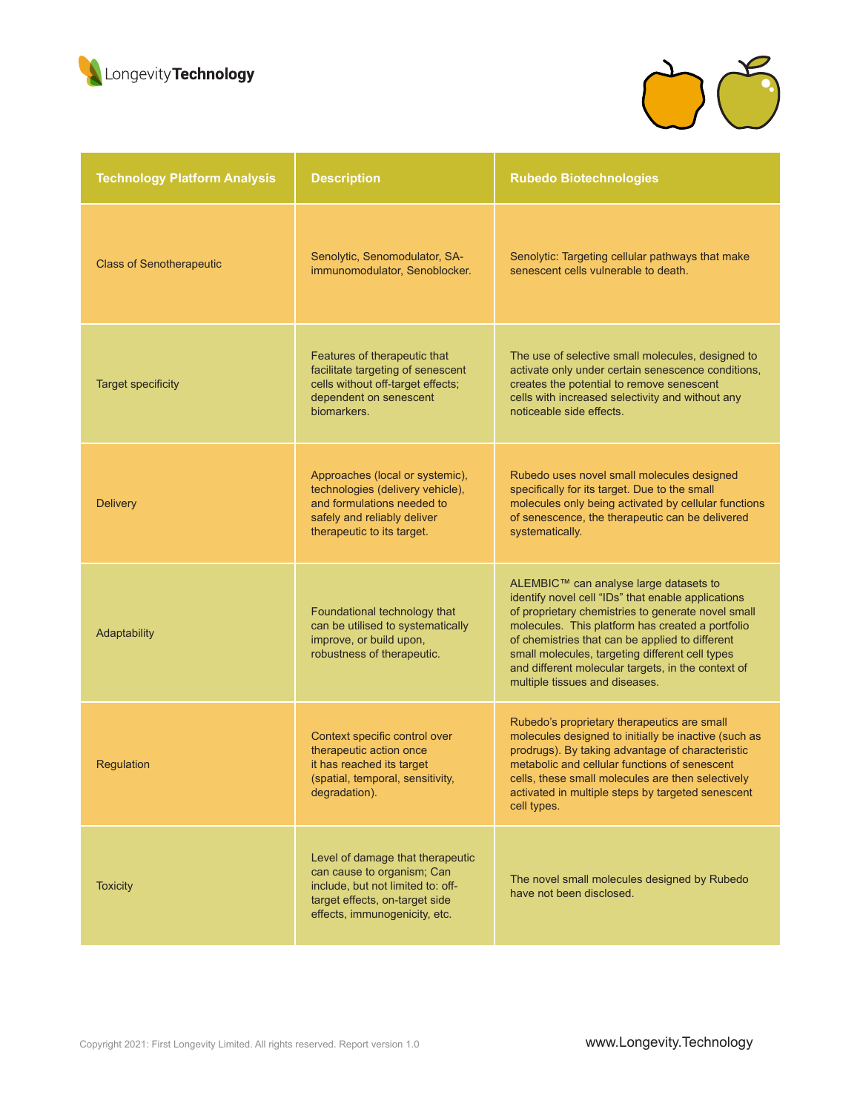



| <b>Technology Platform Analysis</b> | <b>Description</b>                                                                                                                                                     | <b>Rubedo Biotechnologies</b>                                                                                                                                                                                                                                                                                                                                                                        |
|-------------------------------------|------------------------------------------------------------------------------------------------------------------------------------------------------------------------|------------------------------------------------------------------------------------------------------------------------------------------------------------------------------------------------------------------------------------------------------------------------------------------------------------------------------------------------------------------------------------------------------|
| <b>Class of Senotherapeutic</b>     | Senolytic, Senomodulator, SA-<br>immunomodulator, Senoblocker.                                                                                                         | Senolytic: Targeting cellular pathways that make<br>senescent cells vulnerable to death.                                                                                                                                                                                                                                                                                                             |
| <b>Target specificity</b>           | Features of therapeutic that<br>facilitate targeting of senescent<br>cells without off-target effects;<br>dependent on senescent<br>biomarkers.                        | The use of selective small molecules, designed to<br>activate only under certain senescence conditions,<br>creates the potential to remove senescent<br>cells with increased selectivity and without any<br>noticeable side effects.                                                                                                                                                                 |
| <b>Delivery</b>                     | Approaches (local or systemic),<br>technologies (delivery vehicle),<br>and formulations needed to<br>safely and reliably deliver<br>therapeutic to its target.         | Rubedo uses novel small molecules designed<br>specifically for its target. Due to the small<br>molecules only being activated by cellular functions<br>of senescence, the therapeutic can be delivered<br>systematically.                                                                                                                                                                            |
| Adaptability                        | Foundational technology that<br>can be utilised to systematically<br>improve, or build upon,<br>robustness of therapeutic.                                             | ALEMBIC™ can analyse large datasets to<br>identify novel cell "IDs" that enable applications<br>of proprietary chemistries to generate novel small<br>molecules. This platform has created a portfolio<br>of chemistries that can be applied to different<br>small molecules, targeting different cell types<br>and different molecular targets, in the context of<br>multiple tissues and diseases. |
| Regulation                          | Context specific control over<br>therapeutic action once<br>it has reached its target<br>(spatial, temporal, sensitivity,<br>degradation).                             | Rubedo's proprietary therapeutics are small<br>molecules designed to initially be inactive (such as<br>prodrugs). By taking advantage of characteristic<br>metabolic and cellular functions of senescent<br>cells, these small molecules are then selectively<br>activated in multiple steps by targeted senescent<br>cell types.                                                                    |
| <b>Toxicity</b>                     | Level of damage that therapeutic<br>can cause to organism; Can<br>include, but not limited to: off-<br>target effects, on-target side<br>effects, immunogenicity, etc. | The novel small molecules designed by Rubedo<br>have not been disclosed.                                                                                                                                                                                                                                                                                                                             |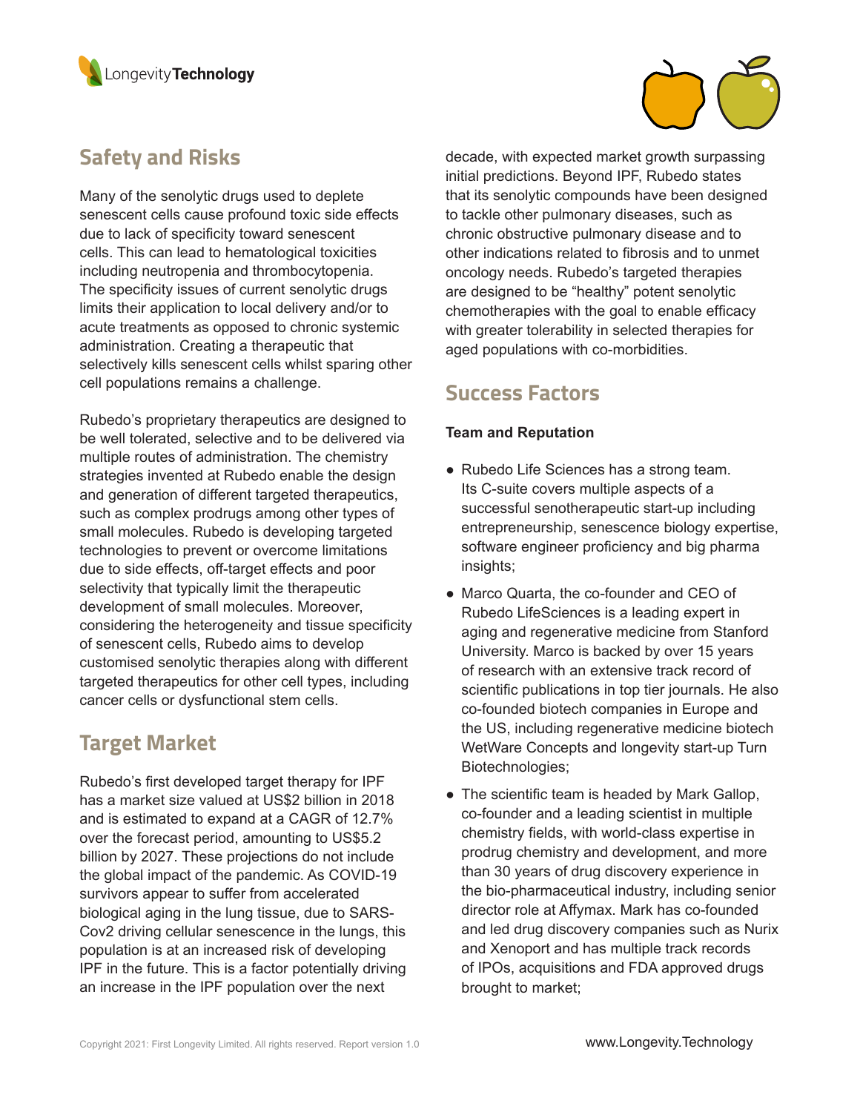

### **Safety and Risks**

Many of the senolytic drugs used to deplete senescent cells cause profound toxic side effects due to lack of specificity toward senescent cells. This can lead to hematological toxicities including neutropenia and thrombocytopenia. The specificity issues of current senolytic drugs limits their application to local delivery and/or to acute treatments as opposed to chronic systemic administration. Creating a therapeutic that selectively kills senescent cells whilst sparing other cell populations remains a challenge.

Rubedo's proprietary therapeutics are designed to be well tolerated, selective and to be delivered via multiple routes of administration. The chemistry strategies invented at Rubedo enable the design and generation of different targeted therapeutics, such as complex prodrugs among other types of small molecules. Rubedo is developing targeted technologies to prevent or overcome limitations due to side effects, off-target effects and poor selectivity that typically limit the therapeutic development of small molecules. Moreover, considering the heterogeneity and tissue specificity of senescent cells, Rubedo aims to develop customised senolytic therapies along with different targeted therapeutics for other cell types, including cancer cells or dysfunctional stem cells.

#### **Target Market**

Rubedo's first developed target therapy for IPF has a market size valued at US\$2 billion in 2018 and is estimated to expand at a CAGR of 12.7% over the forecast period, amounting to US\$5.2 billion by 2027. These projections do not include the global impact of the pandemic. As COVID-19 survivors appear to suffer from accelerated biological aging in the lung tissue, due to SARS-Cov2 driving cellular senescence in the lungs, this population is at an increased risk of developing IPF in the future. This is a factor potentially driving an increase in the IPF population over the next



decade, with expected market growth surpassing initial predictions. Beyond IPF, Rubedo states that its senolytic compounds have been designed to tackle other pulmonary diseases, such as chronic obstructive pulmonary disease and to other indications related to fibrosis and to unmet oncology needs. Rubedo's targeted therapies are designed to be "healthy" potent senolytic chemotherapies with the goal to enable efficacy with greater tolerability in selected therapies for aged populations with co-morbidities.

#### **Success Factors**

#### **Team and Reputation**

- Rubedo Life Sciences has a strong team. Its C-suite covers multiple aspects of a successful senotherapeutic start-up including entrepreneurship, senescence biology expertise, software engineer proficiency and big pharma insights;
- Marco Quarta, the co-founder and CEO of Rubedo LifeSciences is a leading expert in aging and regenerative medicine from Stanford University. Marco is backed by over 15 years of research with an extensive track record of scientific publications in top tier journals. He also co-founded biotech companies in Europe and the US, including regenerative medicine biotech WetWare Concepts and longevity start-up Turn Biotechnologies;
- The scientific team is headed by Mark Gallop, co-founder and a leading scientist in multiple chemistry fields, with world-class expertise in prodrug chemistry and development, and more than 30 years of drug discovery experience in the bio-pharmaceutical industry, including senior director role at Affymax. Mark has co-founded and led drug discovery companies such as Nurix and Xenoport and has multiple track records of IPOs, acquisitions and FDA approved drugs brought to market;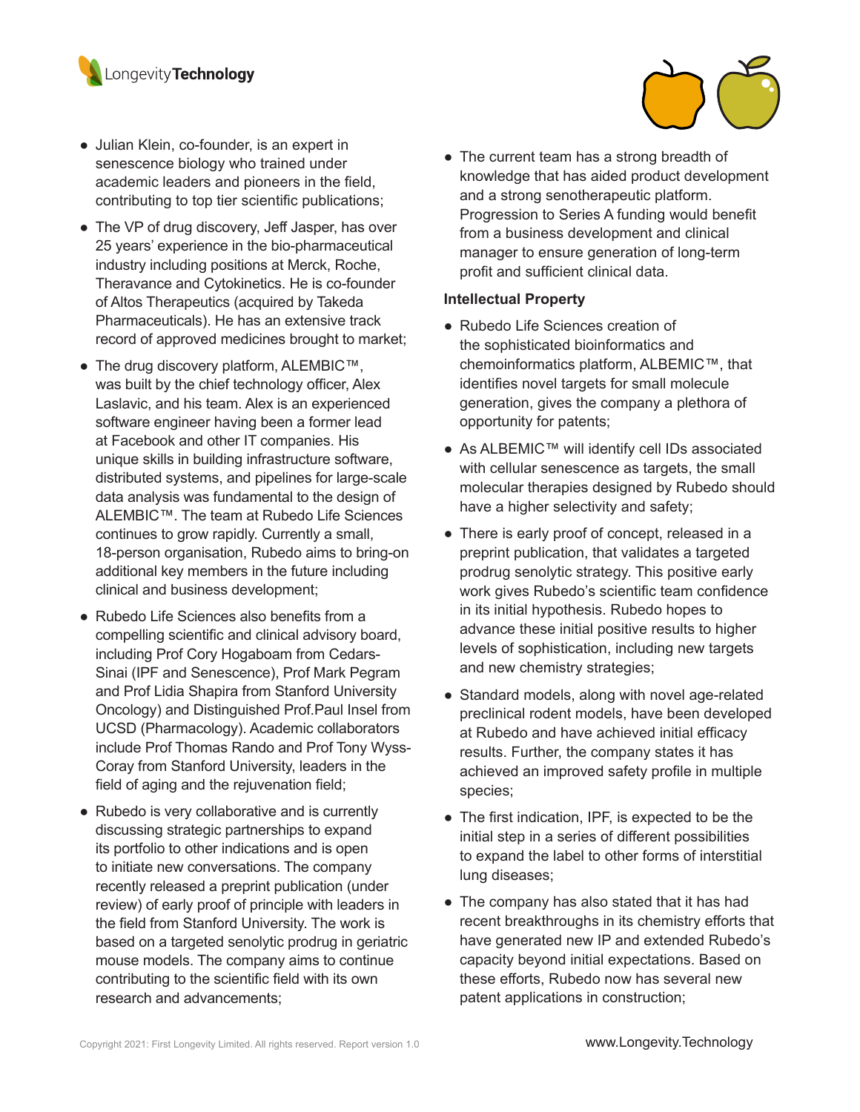

- Julian Klein, co-founder, is an expert in senescence biology who trained under academic leaders and pioneers in the field, contributing to top tier scientific publications;
- The VP of drug discovery, Jeff Jasper, has over 25 years' experience in the bio-pharmaceutical industry including positions at Merck, Roche, Theravance and Cytokinetics. He is co-founder of Altos Therapeutics (acquired by Takeda Pharmaceuticals). He has an extensive track record of approved medicines brought to market;
- The drug discovery platform, ALEMBIC™, was built by the chief technology officer, Alex Laslavic, and his team. Alex is an experienced software engineer having been a former lead at Facebook and other IT companies. His unique skills in building infrastructure software, distributed systems, and pipelines for large-scale data analysis was fundamental to the design of ALEMBIC™. The team at Rubedo Life Sciences continues to grow rapidly. Currently a small, 18-person organisation, Rubedo aims to bring-on additional key members in the future including clinical and business development;
- Rubedo Life Sciences also benefits from a compelling scientific and clinical advisory board, including Prof Cory Hogaboam from Cedars-Sinai (IPF and Senescence), Prof Mark Pegram and Prof Lidia Shapira from Stanford University Oncology) and Distinguished Prof.Paul Insel from UCSD (Pharmacology). Academic collaborators include Prof Thomas Rando and Prof Tony Wyss-Coray from Stanford University, leaders in the field of aging and the rejuvenation field;
- Rubedo is very collaborative and is currently discussing strategic partnerships to expand its portfolio to other indications and is open to initiate new conversations. The company recently released a preprint publication (under review) of early proof of principle with leaders in the field from Stanford University. The work is based on a targeted senolytic prodrug in geriatric mouse models. The company aims to continue contributing to the scientific field with its own research and advancements;

• The current team has a strong breadth of knowledge that has aided product development and a strong senotherapeutic platform. Progression to Series A funding would benefit from a business development and clinical manager to ensure generation of long-term profit and sufficient clinical data.

#### **Intellectual Property**

- Rubedo Life Sciences creation of the sophisticated bioinformatics and chemoinformatics platform, ALBEMIC™, that identifies novel targets for small molecule generation, gives the company a plethora of opportunity for patents;
- As ALBEMIC™ will identify cell IDs associated with cellular senescence as targets, the small molecular therapies designed by Rubedo should have a higher selectivity and safety;
- There is early proof of concept, released in a preprint publication, that validates a targeted prodrug senolytic strategy. This positive early work gives Rubedo's scientific team confidence in its initial hypothesis. Rubedo hopes to advance these initial positive results to higher levels of sophistication, including new targets and new chemistry strategies;
- Standard models, along with novel age-related preclinical rodent models, have been developed at Rubedo and have achieved initial efficacy results. Further, the company states it has achieved an improved safety profile in multiple species;
- The first indication, IPF, is expected to be the initial step in a series of different possibilities to expand the label to other forms of interstitial lung diseases;
- The company has also stated that it has had recent breakthroughs in its chemistry efforts that have generated new IP and extended Rubedo's capacity beyond initial expectations. Based on these efforts, Rubedo now has several new patent applications in construction;